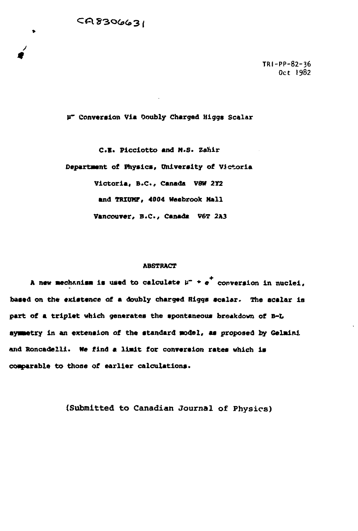$CR8306631$ 

**J** 4

 $\bullet$ 

**TRI-PP-82-36 Oct 1982**

**V~ Conversion Via Doubly Chargad Higga Scalar**

**C.B. Ficciotto and M.S. Zahir Department of Fhy»lcs, Ohiversity of Victoria Victoria, B.C., Canada V8W 2Y2 and TRIOHF, 4004 Keebrook Mall Vancouver, B.C., Canada V6T 2A3**

## **ABSTRACT**

A new mechanism is used to calculate  $\mu^+$   $\rightarrow$   $\sigma^+$  conversion in nuclei, **based on the existence of a doubly charged Higgs scalar. The scalar is part of a triplet which generates the spontaneous breakdown of B-L sysstetry in an extension of the standard •odal, am proposed by Gelaini** and Roncadelli. We find a limit for conversion rates which is **coaparable to those of earlier calculations.**

**(Submitted to Canadian Journal of Physics)**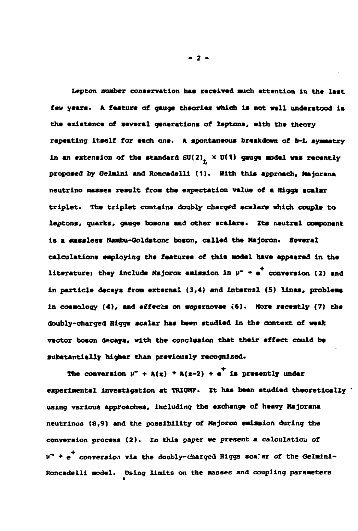**Lepton number conservation has received such attention in the laat few yeara. A feature of gauge theories which is not well understood is the existence of several generations of leptons, with the theory repeating itself for each one\* A spontaneous breakdown of B-L symmetry** in an extension of the standard  $SU(2)$ ,  $\times$  U(1) gauge model was recently **proposed by Gelmini and Roncadelli (1). With this approach, Majorana neutrino masses result froa the expectation value of a Riggs scalar triplet. The triplet contains doubly charged scalars which couple to leptons, quarks, gauge bosons and other scalars. Its neutral component is a Hassles\* Nambu-Goldstone boson, called the Majoron. Several calculations employing the features of this sodel have appeared in the** literature; they include Majoron emission in  $\mu^-$  + e<sup>+</sup> conversion (2) and **in particle decays froa external (3,4) and internal (5) lines, problems** in cosmology (4), and effects on supernovae (6). More recently (7) the **doubly-charged Higgs scalar has been studied in the context of weak vector boson decays, with the conclusion that their effect could be substantially higher than previously recognized.**

The conversion  $\mu^+ + \lambda(z) + \lambda(z-2) + e^+$  is presently under **experimental investigation at TRIOHF. It has been studied theoretically using various approaches, including the exchange of heavy Majorana neutrinos (8,9) and the possibility of Majoron emission during the conversion process (2). In this paper we present a calculation of U~ • e<sup>+</sup> conversion via the doubly-charged Higgs sca.'ar of the Gelmini - Roncadelli model. Using limits on the masses and coupling parameters «**

**- 2 -**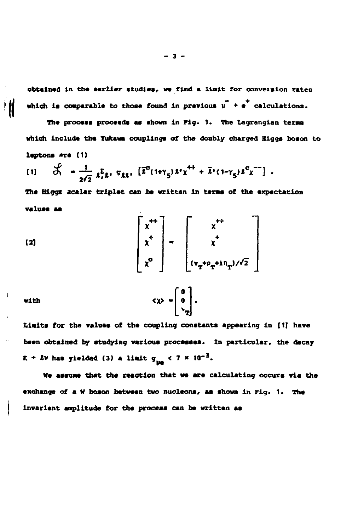**obtained in the earlier studies, we find a limit for conversion rates** which is comparable to those found in previous  $\mu$ <sup>+</sup> + e calculations.

**The process proceeds as shown in Fig. 1. The Lagrangian tersu) which include the Yukawa couplings of the doubly charged Higgs boson to** leptons are (1)

$$
[1] \quad \bigg\vert \int_{0}^{\infty} = \frac{1}{2\sqrt{2}} \, \chi_{\epsilon}^{\Sigma} \, \chi_{\epsilon} \, \big[ \bar{\chi}^{c} (1+\gamma_{5}) \, \iota^{c} \chi^{++} + \bar{\iota}^{c} (1-\gamma_{5}) \, \iota^{c} \chi^{--} \big] \, .
$$

The Higgs scalar triplet can be written in terms of the expectation **values as**

$$
\begin{bmatrix} x^{++} \\ x^+ \\ x^0 \end{bmatrix} = \begin{bmatrix} x^{++} \\ x^+ \\ (v_{\pi} + v_{\pi} + i n_{\pi})/\sqrt{2} \end{bmatrix}
$$

with  
\n
$$
\langle \chi \rangle = \begin{bmatrix} 0 \\ 0 \\ \ddots \\ \ddots \end{bmatrix}
$$
.  
\n**Little for the values of the coupling constants appearing in [1] have**

 $\mathbf{r}$ 

**been obtained by studying various processes. In particular, the decay**  $K + \ell v$  has yielded (3) a limit  $g_{\mu a} < 7 \times 10^{-3}$ .

**We assuae that the reaction that we arm calculating occurs via the exchange of a W boson between two nucleons, as shown in Fig. 1. The invariant anplltude for the process can be written as**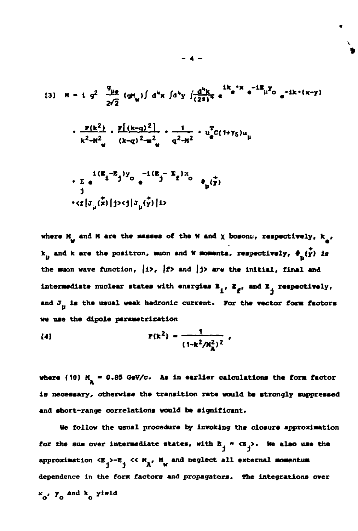$$
(3) \quad N = 1 \quad g^2 \quad \frac{g_{\mu e}}{2\sqrt{2}} \quad (gh_{\mu}) \int d^4x \int d^4y \int \frac{d^4k}{(2\pi)^4} e^{-ik} e^{-ik} e^{-ik} \mu^3 \circ e^{-ik} (x-y)
$$
\n
$$
\frac{P(k^2)}{k^2 - M_{\mu}^2} \cdot \frac{F[(k-q)^2]}{(k-q)^2 - M_{\mu}^2} \cdot \frac{1}{q^2 - M^2} \cdot u_e^T C(1+\gamma_5) u_{\mu}
$$
\n
$$
\frac{1}{k} \cdot \frac{(k-1)^2}{2} \int_0^{\pi} \frac{1}{(k-1)^2} \int_0^{\pi} e^{-ik} e^{-ik} \frac{1}{2} \int_0^{\pi} \frac{1}{2} e^{-ik} \frac{1}{2} \int_0^{\pi} \frac{1}{2} e^{-ik} \frac{1}{2} \int_0^{\pi} \frac{1}{2} e^{-ik} \frac{1}{2} \int_0^{\pi} \frac{1}{2} \int_0^{\pi} \frac{1}{2} \int_0^{\pi} \frac{1}{2} \int_0^{\pi} \frac{1}{2} \int_0^{\pi} \frac{1}{2} \int_0^{\pi} \frac{1}{2} \int_0^{\pi} \frac{1}{2} \int_0^{\pi} \frac{1}{2} \int_0^{\pi} \frac{1}{2} \int_0^{\pi} \frac{1}{2} \int_0^{\pi} \frac{1}{2} \int_0^{\pi} \frac{1}{2} \int_0^{\pi} \frac{1}{2} \int_0^{\pi} \frac{1}{2} \int_0^{\pi} \frac{1}{2} \int_0^{\pi} \frac{1}{2} \int_0^{\pi} \frac{1}{2} \int_0^{\pi} \frac{1}{2} \int_0^{\pi} \frac{1}{2} \int_0^{\pi} \frac{1}{2} \int_0^{\pi} \frac{1}{2} \int_0^{\pi} \frac{1}{2} \int_0^{\pi} \frac{1}{2} \int_0^{\pi} \frac{1}{2} \int_0^{\pi} \frac{1}{2} \int_0^{\pi} \frac{1}{2} \int_0^{\pi} \frac{1}{2} \int_0^{\pi} \frac{1}{2} \int_0^{\pi
$$

where  $M_{\mu}$  and M are the masses of the W and  $\chi$  bosons, respectively,  $k_{\mu}$ ,  $k_{ij}$  and k are the positron, muon and W momenta, respectively,  $\phi_{ij}(\vec{y})$  is the muon wave function,  $|i\rangle$ ,  $|f\rangle$  and  $|j\rangle$  are the initial, final and intermediate nuclear states with energies  $\mathbf{r}_i$ ,  $\mathbf{z}_{f'}$  and  $\mathbf{r}_j$  respectively, and  $J_{ij}$  is the usual weak hadronic current. For the vector form factors we use the dipole parametrization

(4) 
$$
r(k^{2}) = \frac{1}{(1-k^{2}/N_{A}^{2})^{2}}.
$$

where (10)  $M_{\text{A}} = 0.85 \text{ GeV/c}$ . As in earlier calculations the form factor is necessary, otherwise the transition rate would be strongly suppressed and short-range correlations would be significant.

We follow the usual procedure by invoking the closure approximation for the sum over intermediate states, with  $R_1 \cong \langle B_1 \rangle$ . We also use the approximation  ${}^{**E**}_j$ <sup>3</sup>  ${}^{>E}$ <sub>1</sub>  ${}^{<**K**}_j$ <sup>4</sup>  ${}^{**K**}_M$  and neglect all external momentum dependence in the form factors and propagators. The integrations over x y and k yield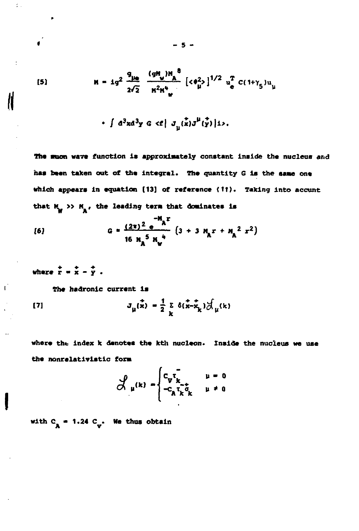$$
M = 1g^{2} \frac{q_{\mu_{0}}}{2\sqrt{2}} \frac{(gH_{\mu})H_{A}^{0}}{n^{2}M_{\mu}^{4}} \left[ \langle \theta_{\mu}^{2} \rangle \right]^{1/2} u_{e}^{T} C(1+\gamma_{5})u_{\mu}
$$

• 
$$
\int d^3x d^3y \, G \, \langle f | J_\mu(x) J^\mu(y) | 1 \rangle,
$$

The muon wave function is approximately constant inside the nucleus and has been taken out of the integral. The quantity G is the same one which appears in equation [13] of reference (11). Taking into accunt that  $M_{\rm m}$  >>  $M_{\rm n}$ , the leading term that dominates is

$$
\begin{array}{cccc}\n\text{(6)} & \text{(6)} & \text{(6)} & \text{(6)} & \text{(6)} & \text{(6)} & \text{(6)} & \text{(6)} & \text{(6)} & \text{(6)} & \text{(6)} & \text{(6)} & \text{(6)} & \text{(6)} & \text{(6)} & \text{(6)} & \text{(6)} & \text{(6)} & \text{(6)} & \text{(6)} & \text{(6)} & \text{(6)} & \text{(6)} & \text{(6)} & \text{(6)} & \text{(6)} & \text{(6)} & \text{(6)} & \text{(6)} & \text{(6)} & \text{(6)} & \text{(6)} & \text{(6)} & \text{(6)} & \text{(6)} & \text{(6)} & \text{(6)} & \text{(6)} & \text{(6)} & \text{(6)} & \text{(6)} & \text{(6)} & \text{(6)} & \text{(6)} & \text{(6)} & \text{(6)} & \text{(6)} & \text{(6)} & \text{(6)} & \text{(6)} & \text{(6)} & \text{(6)} & \text{(6)} & \text{(6)} & \text{(6)} & \text{(6)} & \text{(6)} & \text{(6)} & \text{(6)} & \text{(6)} & \text{(6)} & \text{(6)} & \text{(6)} & \text{(6)} & \text{(6)} & \text{(6)} & \text{(6)} & \text{(6)} & \text{(6)} & \text{(6)} & \text{(6)} & \text{(6)} & \text{(6)} & \text{(6)} & \text{(6)} & \text{(6)} & \text{(6)} & \text{(6)} & \text{(6)} & \text{(6)} & \text{(6)} & \text{(6)} & \text{(6)} & \text{(6)} & \text{(6)} & \text{(6)} & \text{(6)} & \text{(6)} & \text{(6)} & \text{(6)} & \text{(6)} & \text{(6)} & \text{(6)} & \text{(6)} & \text{(6)} & \text{(6)} & \text{(6)} & \text{(6)} & \text{(6)} & \text{(6)} & \text{(6)} & \text{(6)} & \text{(6)} & \text{(6)} & \text{(6)} & \text{(6)} & \text{(6)} & \text{(6)} & \text{(6)} & \text{(6)} & \text{(6)} & \text{(6)} & \text{(6)} & \text{(6)} & \text{(6)} & \text{(6)} & \text{(6)} & \text{(6)} & \text{(6)} & \text{(6)} & \text{(6)} & \text{(6)} & \text{(6)} & \text{(6)} & \text{(6)} & \text
$$

where  $\dot{\vec{r}} = \dot{x} - \dot{y}$ .

 $\mathbf{f}$ 

 $\bar{L}$  .

 $(5)$ 

The hadronic current is

[7] 
$$
J_{\mu}(\vec{x}) = \frac{1}{2} \sum_{k} \delta(\vec{x} - \vec{x}_{k}) \hat{J}_{\mu}(k)
$$

where the index k denotes the kth nucleon. Inside the nucleus we use the nonrelativistic form

$$
\mathcal{J}_{\mu}(k) = \begin{cases} c_{\mathbf{v}_{k}} & \mu = 0 \\ -c_{\mathbf{A}}c_{\mathbf{k}}c_{\mathbf{k}} & \mu \neq 0 \end{cases}
$$

with  $C_a = 1.24 C_v$ . We thus obtain

 $-5 -$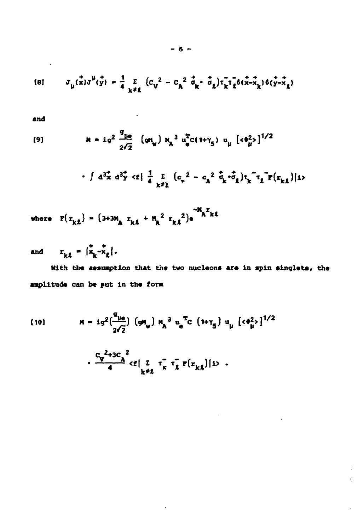$$
(8) \qquad \sigma_{\mu}(\vec{x})\sigma^{\mu}(\vec{y}) = \frac{1}{4} \sum_{k \neq \ell} \left( c_{\nu}^{2} - c_{\lambda}^{2} \vec{\sigma}_{k} \cdot \vec{\sigma}_{\ell} \right) \tau_{k}^{\dagger} \tau_{\ell}^{\dagger} \delta(\vec{x} + \vec{x}_{k}) \delta(\vec{y} - \vec{x}_{\ell})
$$

and

 $\ddot{\phantom{a}}$ 

(9) 
$$
M = 1g^2 \frac{g_{\mu e}}{2\sqrt{2}} (g t_w) N_A^{-3} u_e^T C (1 + \gamma_5) u_\mu (6\frac{g}{\mu})^{1/2}
$$

 $\sim 100$  km s  $^{-1}$ 

$$
\int d^{3}x \ d^{3}y \ c\epsilon \frac{1}{4} \sum_{k\neq 1} (c_{k}^{2} - c_{k}^{2} \bar{d}_{k} \bar{d}_{k}) \tau_{k} \tau_{l} \tau_{l} \epsilon
$$

where 
$$
F(x_{k\ell}) = (3+3M_{A} x_{k\ell} + M_{A}^2 x_{k\ell}^2) e^{-M_{A} x_{k\ell}}
$$

and  $r_{k\ell} = |\dot{x}_k - \dot{x}_\ell|$ .

With the assumption that the two nucleons are in spin singlets, the amplitude can be put in the form

 $\mathcal{L}$ 

 $\mathcal{I}$  $\frac{d}{2}$ 

$$
[10] \qquad \qquad M = 1g^2 \left(\frac{q_{\mu\sigma}}{2\sqrt{2}}\right) \left(q_{\mu}^{\mu} \right) M_A^3 u_{\sigma}^T C \left(1 + \gamma_5\right) u_{\mu} \left[\langle \Phi_{\mu}^2 \rangle\right]^{1/2}
$$

$$
\cdot \frac{c_{\mathbf{v}}^{2+3c_{\mathbf{A}}^{2}}}{4} \ll \Big| \mathop{\varepsilon}_{\mathbf{k} \neq \mathbf{I}} \Big| \mathop{\varepsilon}_{\mathbf{r}} \tau_{\mathbf{k}} \tau_{\mathbf{\ell}} \mathop{\varepsilon}(\mathop{\varepsilon}_{\mathbf{k} \mathbf{\ell}}) \Big| \, \mathop{\varepsilon} \Big|.
$$

 $\ddot{\phantom{a}}$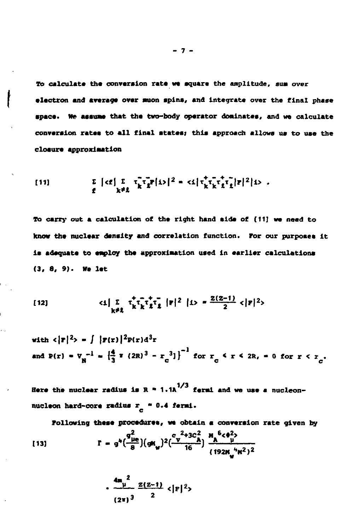**To calculate the conversion rate we square the amplitude, aim over electron and average over anon spins, and integrate over the final phase** space. We assume that the two-body operator dominates, and we calculate **conversion rates to all final states; this approach allows us to use the closure approximation**

$$
[11] \qquad \qquad \sum_{\hat{z}} | \langle z | \sum_{k \neq \hat{z}} \tau_k^* \tau_{\hat{z}}^* \tau | 1 \rangle |^2 = \langle z | \tau_k^* \tau_k^* \tau_{\hat{z}}^* \tau_{\hat{z}}^* | z |^2 | 1 \rangle .
$$

**To carry out a calculation of the right hand aide of [11] we need to know the nuclear density and correlation function. For our purposes it Is adequate to employ the approximation used in earlier calculations (3, 8, 9). He let**

$$
\begin{array}{lll}\n\text{(12)} & \text{(1)} & \text{(2)} \\
\text{(3)} & \text{(4)} & \text{(5)} \\
\text{(4)} & \text{(5)} & \text{(6)} \\
\text{(6)} & \text{(6)} & \text{(6)} \\
\text{(7)} & \text{(8)} & \text{(8)} \\
\text{(8)} & \text{(8)} & \text{(8)} \\
\text{(9)} & \text{(1)} & \text{(1)} \\
\text{(1)} & \text{(1)} & \text{(1)} \\
\text{(1)} & \text{(1)} & \text{(1)} \\
\text{(2)} & \text{(3)} & \text{(4)} \\
\text{(4)} & \text{(5)} & \text{(6)} \\
\text{(6)} & \text{(7)} & \text{(8)} \\
\text{(8)} & \text{(9)} & \text{(1)} \\
\text{(1)} & \text{(1)} & \text{(1)} \\
\text{(1)} & \text{(1)} & \text{(1)} \\
\text{(2)} & \text{(2)} & \text{(2)} \\
\text{(3)} & \text{(4)} & \text{(5)} \\
\text{(6)} & \text{(6)} & \text{(6)} \\
\text{(7)} & \text{(8)} & \text{(9)} \\
\text{(1)} & \text{(1)} & \text{(1)} \\
\text{(1)} & \text{(1)} & \text{(1)} \\
\text{(2)} & \text{(2)} & \text{(2)} \\
\text{(3)} & \text{(4)} & \text{(5)} \\
\text{(4)} & \text{(5)} & \text{(6)} \\
\text{(6)} & \text{(6)} & \text{(6)} \\
\text{(7)} & \text{(8)} & \text{(9)} \\
\text{(9)} & \text{(1)} & \text{(1)} \\
\text{(1)} & \text{(1)} & \text{(1)} \\
\text{(1)} & \text{(1)} & \text{(1)} \\
\text{(2)} & \text{(2)} & \text{(3)} \\
\text{(3)} & \text{(4)} & \text{(5)} \\
\text{(4)} & \text{(5)} & \text{(6)} \\
\text{(6)} & \text{(6)} & \text{(6)} \\
\text{(7)} & \text{(8)} & \text{(9)} \\
\text
$$

 $\text{with } < |F|^2$  > =  $\int |F(x)|^2 P(x) d^3x$ **and P(r) =**  $V_{\text{R}}^{-1} = \left\{ \frac{4}{3} \pi (2R)^3 - r_{\text{C}}^{-3} \right\}^{-1}$  **for**  $r_{\text{C}} \le r \le 2R$ **, = 0 for**  $r \le r_{\text{C}}$ **.** 

**Bare the nuclear radius Is R " 1.1A farml and we use a nucleon**nucleon hard-core radius  $r_a$  = 0.4 fermi.

Following these procedures, we obtain a conversion rate given by

$$
[\text{13}] \qquad \qquad \Gamma = g^4 \Big( \frac{q_{\mu e}^2}{g} \Big) \Big( g \mu_w \Big)^2 \Big( \frac{v^2 + 3c^2}{16} \Big) \frac{\mu_h^6 c g^2 y}{(192 \mu_u^4 \mu^2)^2}
$$

$$
\cdot \frac{4m^2}{(2\pi)^3} \frac{z(z-1)}{2} \langle |r|^2 \rangle
$$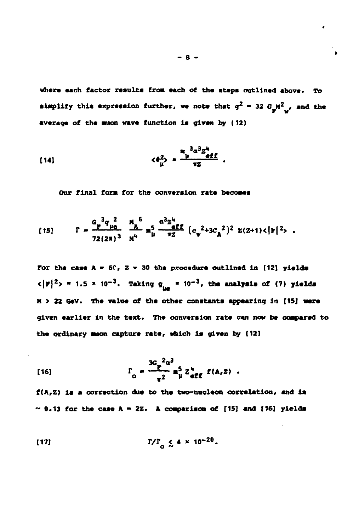**where each factor results froa each of the atepa outlined above. To simplify this expression further, we note that**  $q^2$  **= 32 G<sub>a</sub>M**<sup>2</sup><sub>*i*</sub>, and the **average of the snion wave function Is given by (12)**

$$
\begin{array}{ccc}\n & \frac{1}{4} \frac{3a^2z^4}{2} \\
\left(14\right) & \left(14\right) & \left(14\right) \\
\left(14\right) & \left(14\right) & \left(14\right) \\
\left(14\right) & \left(14\right) & \left(14\right) \\
\left(14\right) & \left(14\right) & \left(14\right) & \left(14\right) \\
\left(14\right) & \left(14\right) & \left(14\right) & \left(14\right) \\
\left(14\right) & \left(14\right) & \left(14\right) & \left(14\right) & \left(14\right) \\
\left(14\right) & \left(14\right) & \left(14\right) & \left(14\right) & \left(14\right) & \left(14\right) \\
\left(14\right) & \left(14\right) & \left(14\right) & \left(14\right) & \left(14\right) & \left(14\right) & \left(14\right) \\
\left(14\right) & \left(14\right) & \left(14\right) & \left(14\right) & \left(14\right) & \left(14\right) & \left(14\right) & \left(14\right) \\
\left(14\right) & \left(14\right) & \left(14\right) & \left(14\right) & \left(14\right) & \left(14\right) & \left(14\right) & \left(14\right) \\
\left(14\right) & \left(14\right) & \left(14\right) & \left(14\right) & \left(14\right) & \left(14\right) & \left(14\right) & \left(14\right) & \left(14\right) & \left(14\right) & \left(14\right) & \left(14\right) & \left(14\right) & \left(14\right) & \left(14\right) & \left(14\right) & \left(14\right) & \left(14\right) & \left(14\right) & \left(14\right) & \left(14\right) & \left(14\right) & \left(14\right) & \left(14\right) & \left(14\right) & \left(14\right) & \left(14\right) & \left(14\right) & \left(14\right) & \left(14\right) & \
$$

**Our final font for the conversion rate becomes**

$$
\text{(15)} \qquad \Gamma = \frac{G_{\mathbf{r}}^{3}g_{\mu e}^{2}}{72(2\pi)^{3}} \xrightarrow{N^{4}} \mathbf{a}_{\mu}^{5} \xrightarrow{\alpha^{3}2^{4}} [\mathbf{c}_{\mathbf{v}}^{2}+3\mathbf{c}_{\mathbf{A}}^{2}]^{2} \mathbf{z}(2+1)\mathbf{z}|\mathbf{r}|^{2} \rangle \text{ .}
$$

For the case  $A = 6C$ ,  $Z = 30$  the procedure outlined in [12] yields  $\langle |F|^2 \rangle$  = 1.5 x 10<sup>-3</sup>. Taking  $g_{\mu a}$  = 10<sup>-3</sup>, the analysis of (7) yields **H > 22 GeV. The value of the other constants appearing la [15] were given earlier In the text. The conversion rate can now be compared to the ordinary suon capture rate, which is given by (12)**

$$
3G \frac{2\alpha^3}{\alpha} = \frac{3}{\alpha^2} \frac{1}{\alpha^3} \frac{1}{2} \frac{1}{2} \frac{1}{2} \frac{1}{2} (A, Z) .
$$

**f(A,Z) is a correction due to the two-nucleon correlation, and i«**  $\sim$  0.13 for the case  $A = 2Z$ . A comparison of  $[15]$  and  $[16]$  yields

$$
\Gamma/\Gamma_{\alpha} \leq 4 \times 10^{-20}.
$$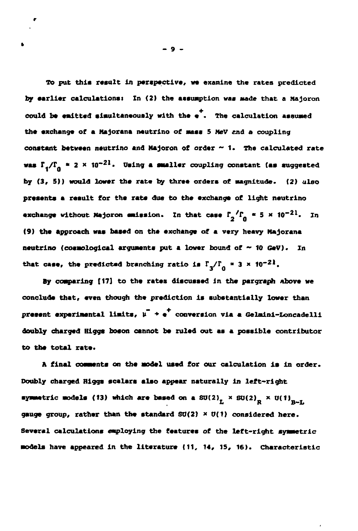To put this result in perspective, we examine the rates predicted by earlier calculations: In (2) the assumption was made that a Majoron **could be emitted aimultaneoualy with the a . The calculation assumed the exchange of a Hajorana neutrino of mass 5 MeV end a coupling constant between neutrino and Majoron of order ~ 1. The calculated rate was**  $\Gamma_4/\Gamma_0 = 2 \times 10^{-21}$ . Using a smaller coupling constant (as suggested by (3, 5)) would lower the rate by three orders of magnitude. (2) also **preaents a reault for the rata due to the exchange of light neutrino exchange without Majoron emission.** In that case  $\Gamma_o / \Gamma_o = 5 \times 10^{-21}$ . In **(9) the approach was baaed on the exchange of a very heavy Majorana neutrino (coamological arguments put a lower bound of ~ 10 GeV). In** that case, the predicted branching ratio is  $\Gamma_1/\Gamma_0 = 3 \times 10^{-21}$ .

**By comparing [17] to the rates discussed In the pargraph Above we conclude that, even though the prediction la substantially lower than present experimental limits, u • e conversion via a Gelmini-Loncadelll doubly charged Higga boson cannot be ruled out aa a possible contributor to the total rate.**

**A final comments on the model used for our calculation ia In order. Doubly charged Higga acalara also appear naturally in left-right symmetric models (13) which are based on a SU(2)<sub>n</sub>**  $\times$  **SU(2)<sub>n</sub>**  $\times$  **U(1)<sub>R-T</sub> gauge group, rather than the standard S0(2) x v(1) considered here. Several calculations employing the features of the left-right symmetric models have appeared in the literature (11, 14, IS, 16). Characteristic**

ï

- 9 -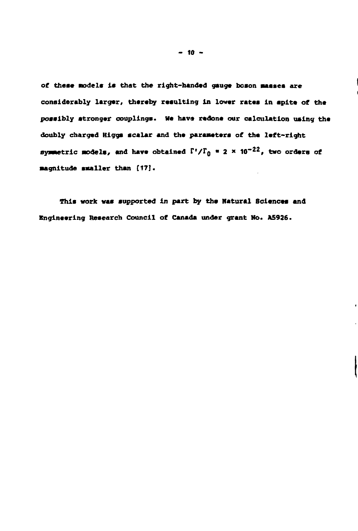**of these nodela is that the right-handed gauge boson masses are considerably larger, thareby resulting in lower rates in spite of the possibly stronger couplings. Me have redone our calculation using the doubly charged Biggs scalar and the parameters of the left-right symmetric models, and have obtained V'/To • 2 « 10~<sup>22</sup>, two orders of magnitude smaller than [17].**

**This work was supported in part by the Natural Sciences and Engineering Research Council of Canada under grant Mo. A5926.**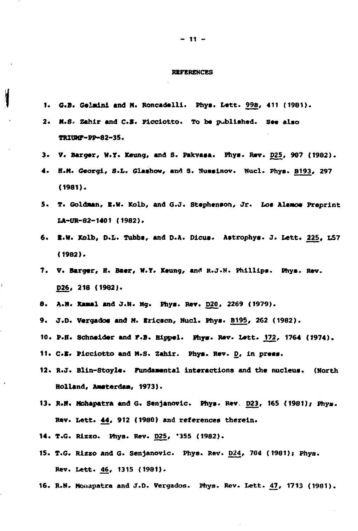## **REFERENCES**

 $\overline{\mathbf{I}}$ 

l.

| 1. | G.B. Gelmini and M. Roncadelli. Phys. Lett. 99B, 411 (1981).            |
|----|-------------------------------------------------------------------------|
| 2. | M.S. Zahir and C.E. Picciotto. To be published. See also                |
|    | <b>TRIUMF-PP-82-35.</b>                                                 |
| з. | V. Barger, W.Y. Keung, and S. Pakvasa. Phys. Rev. D25, 907 (1982).      |
| 4. | H.M. Georgi, S.L. Glashow, and S. Nussinov. Nucl. Phys. B193, 297       |
|    | $(1981)$ .                                                              |
| 5. | T. Goldman, R.W. Kolb, and G.J. Stephenson, Jr. Los Alamos Preprint     |
|    | LA-UR-82-1401 (1982).                                                   |
|    | 6. E.W. Kolb, D.L. Tubbs, and D.A. Dicus. Astrophys. J. Lett. 225, LS7  |
|    | $(1982)$ .                                                              |
|    | 7. V. Barger, H. Baer, W.Y. Keung, and R.J.N. Phillips. Phys. Rev.      |
|    | D26, 218 (1982).                                                        |
|    | 8. A.M. Kamal and J.N. Mg. Phys. Rev. D20, 2269 (1979).                 |
|    | 9. J.D. Vergados and M. Ericson, Nucl. Phys. B195, 262 (1982).          |
|    | 10. P.H. Schneider and F.B. Hippel. Phys. Rev. Lett. 172, 1764 (1974).  |
|    | 11. C.E. Picciotto and M.S. Zahir. Phys. Rev. D, in press.              |
|    | 12. R.J. Blin-Stoyle. Fundamental interactions and the nucleus. (North  |
|    | Holland, Ameterdam, 1973).                                              |
|    | 13. R.W. Mohapatra and G. Senjanovic. Phys. Rev. D23, 165 (1981); Phys. |
|    | Rev. Lett. 44, 912 (1980) and references therein.                       |
|    | 14. T.G. Rizzo. Phys. Rev. D25, '355 (1982).                            |
|    | 15. T.G. Rizzo and G. Senjanovic. Phys. Rev. D24, 704 (1981); Phys.     |
|    | Rev. Lett. 46, 1315 (1981).                                             |
|    | 16. R.N. Monapatra and J.D. Vergados. Phys. Rev. Lett. 47, 1713 (1981). |